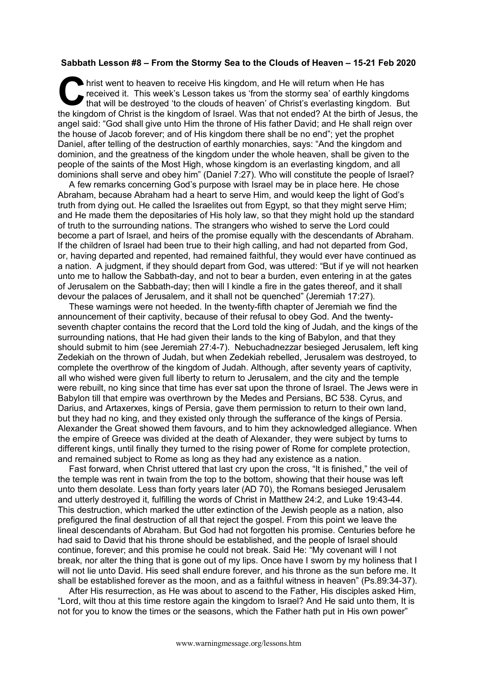## **Sabbath Lesson #8 – From the Stormy Sea to the Clouds of Heaven – 15-21 Feb 2020**

hrist went to heaven to receive His kingdom, and He will return when He has received it. This week's Lesson takes us 'from the stormy sea' of earthly kingdoms that will be destroyed 'to the clouds of heaven' of Christ's everlasting kingdom. But It his week is kingdom, and He will return when He has received it. This week's Lesson takes us 'from the stormy sea' of earthly kingdoms that will be destroyed 'to the clouds of heaven' of Christ's everlasting kingdom. Bu angel said: "God shall give unto Him the throne of His father David; and He shall reign over the house of Jacob forever; and of His kingdom there shall be no end"; yet the prophet Daniel, after telling of the destruction of earthly monarchies, says: "And the kingdom and dominion, and the greatness of the kingdom under the whole heaven, shall be given to the people of the saints of the Most High, whose kingdom is an everlasting kingdom, and all dominions shall serve and obey him" (Daniel 7:27). Who will constitute the people of Israel?

A few remarks concerning God's purpose with Israel may be in place here. He chose Abraham, because Abraham had a heart to serve Him, and would keep the light of God's truth from dying out. He called the Israelites out from Egypt, so that they might serve Him; and He made them the depositaries of His holy law, so that they might hold up the standard of truth to the surrounding nations. The strangers who wished to serve the Lord could become a part of Israel, and heirs of the promise equally with the descendants of Abraham. If the children of Israel had been true to their high calling, and had not departed from God, or, having departed and repented, had remained faithful, they would ever have continued as a nation. A judgment, if they should depart from God, was uttered: "But if ye will not hearken unto me to hallow the Sabbath-day, and not to bear a burden, even entering in at the gates of Jerusalem on the Sabbath-day; then will I kindle a fire in the gates thereof, and it shall devour the palaces of Jerusalem, and it shall not be quenched" (Jeremiah 17:27).

These warnings were not heeded. In the twenty-fifth chapter of Jeremiah we find the announcement of their captivity, because of their refusal to obey God. And the twentyseventh chapter contains the record that the Lord told the king of Judah, and the kings of the surrounding nations, that He had given their lands to the king of Babylon, and that they should submit to him (see Jeremiah 27:4-7). Nebuchadnezzar besieged Jerusalem, left king Zedekiah on the thrown of Judah, but when Zedekiah rebelled, Jerusalem was destroyed, to complete the overthrow of the kingdom of Judah. Although, after seventy years of captivity, all who wished were given full liberty to return to Jerusalem, and the city and the temple were rebuilt, no king since that time has ever sat upon the throne of Israel. The Jews were in Babylon till that empire was overthrown by the Medes and Persians, BC 538. Cyrus, and Darius, and Artaxerxes, kings of Persia, gave them permission to return to their own land, but they had no king, and they existed only through the sufferance of the kings of Persia. Alexander the Great showed them favours, and to him they acknowledged allegiance. When the empire of Greece was divided at the death of Alexander, they were subject by turns to different kings, until finally they turned to the rising power of Rome for complete protection, and remained subject to Rome as long as they had any existence as a nation.

Fast forward, when Christ uttered that last cry upon the cross, "It is finished," the veil of the temple was rent in twain from the top to the bottom, showing that their house was left unto them desolate. Less than forty years later (AD 70), the Romans besieged Jerusalem and utterly destroyed it, fulfilling the words of Christ in Matthew 24:2, and Luke 19:43-44. This destruction, which marked the utter extinction of the Jewish people as a nation, also prefigured the final destruction of all that reject the gospel. From this point we leave the lineal descendants of Abraham. But God had not forgotten his promise. Centuries before he had said to David that his throne should be established, and the people of Israel should continue, forever; and this promise he could not break. Said He: "My covenant will I not break, nor alter the thing that is gone out of my lips. Once have I sworn by my holiness that I will not lie unto David. His seed shall endure forever, and his throne as the sun before me. It shall be established forever as the moon, and as a faithful witness in heaven" (Ps.89:34-37).

After His resurrection, as He was about to ascend to the Father, His disciples asked Him, "Lord, wilt thou at this time restore again the kingdom to Israel? And He said unto them, It is not for you to know the times or the seasons, which the Father hath put in His own power"